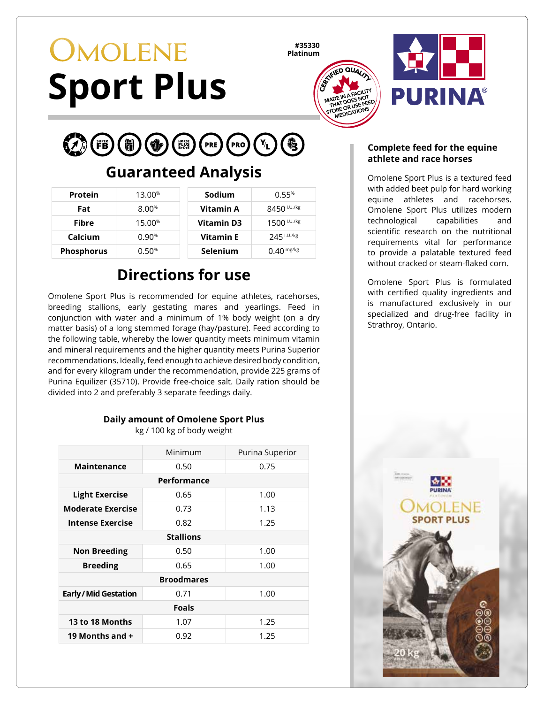# **OMOLENE Sport Plus**

**#35330 Platinum**





#### $PRO\left(\begin{matrix} Y_L \end{matrix}\right)$ **EXA** (FB) (制) PRE

## **Guaranteed Analysis**

| Protein           | 13.00%             | Sodium            | 0.55%                   |
|-------------------|--------------------|-------------------|-------------------------|
| Fat               | $8.00\%$           | Vitamin A         | 8450 <sup>I.U./kg</sup> |
| Fibre             | 15.00 <sup>%</sup> | <b>Vitamin D3</b> | $1500$ $1.07$ / $kg$    |
| Calcium           | 0.90%              | <b>Vitamin E</b>  | 245 I.U./kg             |
| <b>Phosphorus</b> | 0.50%              | Selenium          | $0.40$ mg/kg            |

## **Directions for use**

Omolene Sport Plus is recommended for equine athletes, racehorses, breeding stallions, early gestating mares and yearlings. Feed in conjunction with water and a minimum of 1% body weight (on a dry matter basis) of a long stemmed forage (hay/pasture). Feed according to the following table, whereby the lower quantity meets minimum vitamin and mineral requirements and the higher quantity meets Purina Superior recommendations. Ideally, feed enough to achieve desired body condition, and for every kilogram under the recommendation, provide 225 grams of Purina Equilizer (35710). Provide free-choice salt. Daily ration should be divided into 2 and preferably 3 separate feedings daily.

#### **Daily amount of Omolene Sport Plus** kg / 100 kg of body weight

|                            | Minimum | Purina Superior |  |  |
|----------------------------|---------|-----------------|--|--|
| Maintenance                | 0.50    | 0.75            |  |  |
| Performance                |         |                 |  |  |
| <b>Light Exercise</b>      | 0.65    | 1.00            |  |  |
| <b>Moderate Exercise</b>   | 0.73    | 1.13            |  |  |
| <b>Intense Exercise</b>    | 0.82    | 1.25            |  |  |
| <b>Stallions</b>           |         |                 |  |  |
| <b>Non Breeding</b>        | 0.50    | 1.00            |  |  |
| <b>Breeding</b>            | 0.65    | 1.00            |  |  |
| <b>Broodmares</b>          |         |                 |  |  |
| <b>Early/Mid Gestation</b> | 0.71    | 1.00            |  |  |
| <b>Foals</b>               |         |                 |  |  |
| 13 to 18 Months            | 1.07    | 1.25            |  |  |
| 19 Months and +            | 0.92    | 1.25            |  |  |

#### **Complete feed for the equine athlete and race horses**

Omolene Sport Plus is a textured feed with added beet pulp for hard working equine athletes and racehorses. Omolene Sport Plus utilizes modern technological capabilities and scientific research on the nutritional requirements vital for performance to provide a palatable textured feed without cracked or steam-flaked corn.

Omolene Sport Plus is formulated with certified quality ingredients and is manufactured exclusively in our specialized and drug-free facility in Strathroy, Ontario.